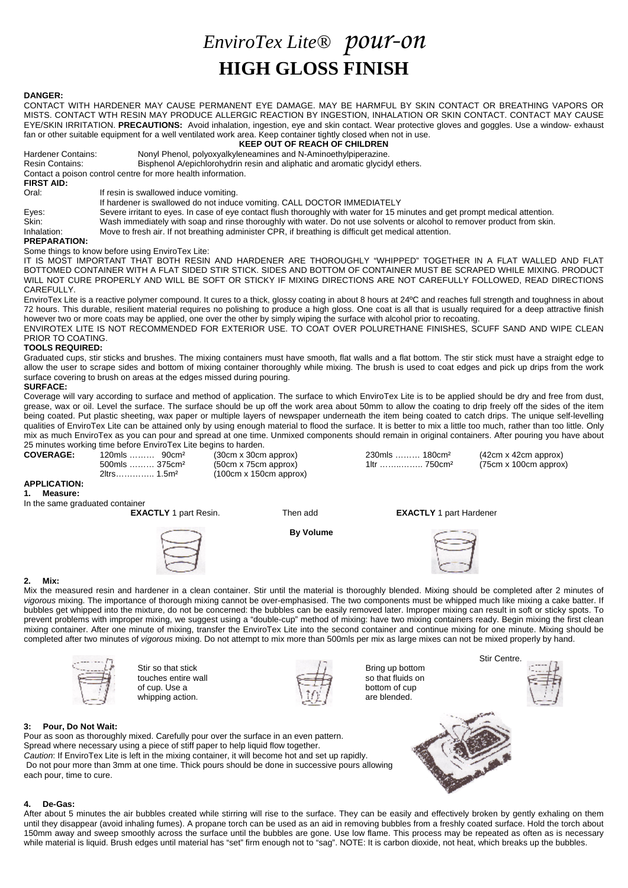# *EnviroTex Lite® pour-on* **HIGH GLOSS FINISH**

# **DANGER:**

CONTACT WITH HARDENER MAY CAUSE PERMANENT EYE DAMAGE. MAY BE HARMFUL BY SKIN CONTACT OR BREATHING VAPORS OR MISTS. CONTACT WTH RESIN MAY PRODUCE ALLERGIC REACTION BY INGESTION, INHALATION OR SKIN CONTACT. CONTACT MAY CAUSE EYE/SKIN IRRITATION. **PRECAUTIONS:** Avoid inhalation, ingestion, eye and skin contact. Wear protective gloves and goggles. Use a window- exhaust fan or other suitable equipment for a well ventilated work area. Keep container tightly closed when not in use.

**KEEP OUT OF REACH OF CHILDREN**

Hardener Contains: Nonyl Phenol, polyoxyalkyleneamines and N-Aminoethylpiperazine.<br>
Resin Contains: Bisphenol A/epichlorohydrin resin and aliphatic and aromatic glycidy Bisphenol A/epichlorohydrin resin and aliphatic and aromatic glycidyl ethers.

Contact a poison control centre for more health information.

**FIRST AID:**

If resin is swallowed induce vomiting.

If hardener is swallowed do not induce vomiting. CALL DOCTOR IMMEDIATELY

Eyes: Severe irritant to eyes. In case of eye contact flush thoroughly with water for 15 minutes and get prompt medical attention.<br>Skin: Wash immediately with soap and rinse thoroughly with water. Do not use solvents or al

Skin: Wash immediately with soap and rinse thoroughly with water. Do not use solvents or alcohol to remover product from skin.<br>Inhalation: Move to fresh air. If not breathing administer CPR, if breathing is difficult get m

Move to fresh air. If not breathing administer CPR, if breathing is difficult get medical attention.

# **PREPARATION:**

Some things to know before using EnviroTex Lite:

IT IS MOST IMPORTANT THAT BOTH RESIN AND HARDENER ARE THOROUGHLY "WHIPPED" TOGETHER IN A FLAT WALLED AND FLAT BOTTOMED CONTAINER WITH A FLAT SIDED STIR STICK. SIDES AND BOTTOM OF CONTAINER MUST BE SCRAPED WHILE MIXING. PRODUCT WILL NOT CURE PROPERLY AND WILL BE SOFT OR STICKY IF MIXING DIRECTIONS ARE NOT CAREFULLY FOLLOWED, READ DIRECTIONS CAREFULLY.

EnviroTex Lite is a reactive polymer compound. It cures to a thick, glossy coating in about 8 hours at 24ºC and reaches full strength and toughness in about 72 hours. This durable, resilient material requires no polishing to produce a high gloss. One coat is all that is usually required for a deep attractive finish however two or more coats may be applied, one over the other by simply wiping the surface with alcohol prior to recoating.

ENVIROTEX LITE IS NOT RECOMMENDED FOR EXTERIOR USE. TO COAT OVER POLURETHANE FINISHES, SCUFF SAND AND WIPE CLEAN PRIOR TO COATING.

# **TOOLS REQUIRED:**

Graduated cups, stir sticks and brushes. The mixing containers must have smooth, flat walls and a flat bottom. The stir stick must have a straight edge to allow the user to scrape sides and bottom of mixing container thoroughly while mixing. The brush is used to coat edges and pick up drips from the work surface covering to brush on areas at the edges missed during pouring.

#### **SURFACE:**

Coverage will vary according to surface and method of application. The surface to which EnviroTex Lite is to be applied should be dry and free from dust, grease, wax or oil. Level the surface. The surface should be up off the work area about 50mm to allow the coating to drip freely off the sides of the item being coated. Put plastic sheeting, wax paper or multiple layers of newspaper underneath the item being coated to catch drips. The unique self-levelling qualities of EnviroTex Lite can be attained only by using enough material to flood the surface. It is better to mix a little too much, rather than too little. Only mix as much EnviroTex as you can pour and spread at one time. Unmixed components should remain in original containers. After pouring you have about 25 minutes working time before EnviroTex Lite begins to harden.<br> **COVERAGE:** 120mls ......... 90cm<sup>2</sup> (30cm x 30cm approx)

#### **APPLICATION: 1. Measure:**



500mls ……… 375cm<sup>2</sup> (50cm x 75cm approx) 1ltr …………… 750cm<sup>2</sup> (75cm x 100cm approx)<br>2ltrs ………… 1.5m<sup>2</sup> (100cm x 150cm approx)  $(100cm x 150cm$  approx)

**COVERAGE:** 120mls ……… 90cm² (30cm x 30cm approx) 230mls ……… 180cm² (42cm x 42cm approx)

# In the same graduated container<br>**EXACTLY** 1 part Resin.



**EXACTLY** 1 part Hardener

**By Volume**



# **2. Mix:**

Mix the measured resin and hardener in a clean container. Stir until the material is thoroughly blended. Mixing should be completed after 2 minutes of *vigorous* mixing. The importance of thorough mixing cannot be over-emphasised. The two components must be whipped much like mixing a cake batter. If bubbles get whipped into the mixture, do not be concerned: the bubbles can be easily removed later. Improper mixing can result in soft or sticky spots. To prevent problems with improper mixing, we suggest using a "double-cup" method of mixing: have two mixing containers ready. Begin mixing the first clean mixing container. After one minute of mixing, transfer the EnviroTex Lite into the second container and continue mixing for one minute. Mixing should be completed after two minutes of *vigorous* mixing. Do not attempt to mix more than 500mls per mix as large mixes can not be mixed properly by hand.



Stir so that stick Bring up bottom<br>touches entire wall by the so that fluids on touches entire wall  $\begin{array}{ccc} \begin{array}{ccc} \bullet & \bullet & \bullet & \bullet \\ \hline \bullet & \bullet & \bullet & \bullet \end{array} & \begin{array}{ccc} \bullet & \bullet & \bullet & \bullet \\ \bullet & \bullet & \bullet & \bullet \end{array} & \begin{array}{ccc} \bullet & \bullet & \bullet & \bullet \\ \bullet & \bullet & \bullet & \bullet & \bullet \end{array} & \begin{array}{ccc} \bullet & \bullet & \bullet & \bullet & \bullet \\ \bullet & \bullet & \bullet & \bullet & \bullet & \bullet \end{array} & \begin{array}{ccc} \bullet & \bullet & \bullet & \bullet & \bullet \\ \bullet & \bullet & \bullet & \bullet &$ of cup. Use a whipping action.  $\mathbf{u} \in \mathbb{R}$  are blended.





Stir Centre.

# **3: Pour, Do Not Wait:**

Pour as soon as thoroughly mixed. Carefully pour over the surface in an even pattern. Spread where necessary using a piece of stiff paper to help liquid flow together. *Caution*: If EnviroTex Lite is left in the mixing container, it will become hot and set up rapidly. Do not pour more than 3mm at one time. Thick pours should be done in successive pours allowing each pour, time to cure.



# **4. De-Gas:**

After about 5 minutes the air bubbles created while stirring will rise to the surface. They can be easily and effectively broken by gently exhaling on them until they disappear (avoid inhaling fumes). A propane torch can be used as an aid in removing bubbles from a freshly coated surface. Hold the torch about 150mm away and sweep smoothly across the surface until the bubbles are gone. Use low flame. This process may be repeated as often as is necessary while material is liquid. Brush edges until material has "set" firm enough not to "sag". NOTE: It is carbon dioxide, not heat, which breaks up the bubbles.